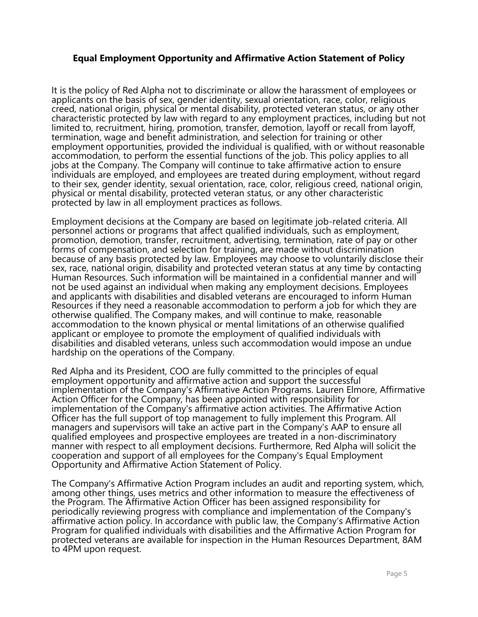## Equal Employment Opportunity and Affirmative Action Statement of Policy

It is the policy of Red Alpha not to discriminate or allow the harassment of employees or applicants on the basis of sex, gender identity, sexual orientation, race, color, religious creed, national origin, physical or mental disability, protected veteran status, or any other characteristic protected by law with regard to any employment practices, including but not limited to, recruitment, hiring, promotion, transfer, demotion, layoff or recall from layoff, termination, wage and benefit administration, and selection for training or other employment opportunities, provided the individual is qualified, with or without reasonable accommodation, to perform the essential functions of the job. This policy applies to all jobs at the Company. The Company will continue to take affirmative action to ensure individuals are employed, and employees are treated during employment, without regard to their sex, gender identity, sexual orientation, race, color, religious creed, national origin, physical or mental disability, protected veteran status, or any other characteristic protected by law in all employment practices as follows.

Employment decisions at the Company are based on legitimate job‐related criteria. All personnel actions or programs that affect qualified individuals, such as employment, promotion, demotion, transfer, recruitment, advertising, termination, rate of pay or other forms of compensation, and selection for training, are made without discrimination because of any basis protected by law. Employees may choose to voluntarily disclose their sex, race, national origin, disability and protected veteran status at any time by contacting Human Resources. Such information will be maintained in a confidential manner and will not be used against an individual when making any employment decisions. Employees and applicants with disabilities and disabled veterans are encouraged to inform Human Resources if they need a reasonable accommodation to perform a job for which they are otherwise qualified. The Company makes, and will continue to make, reasonable accommodation to the known physical or mental limitations of an otherwise qualified applicant or employee to promote the employment of qualified individuals with disabilities and disabled veterans, unless such accommodation would impose an undue hardship on the operations of the Company.

Red Alpha and its President, COO are fully committed to the principles of equal employment opportunity and affirmative action and support the successful implementation of the Company's Affirmative Action Programs. Lauren Elmore, Affirmative Action Officer for the Company, has been appointed with responsibility for implementation of the Company's affirmative action activities. The Affirmative Action Officer has the full support of top management to fully implement this Program. All managers and supervisors will take an active part in the Company's AAP to ensure all qualified employees and prospective employees are treated in a non‐discriminatory manner with respect to all employment decisions. Furthermore, Red Alpha will solicit the cooperation and support of all employees for the Company's Equal Employment Opportunity and Affirmative Action Statement of Policy.

The Company's Affirmative Action Program includes an audit and reporting system, which, among other things, uses metrics and other information to measure the effectiveness of the Program. The Affirmative Action Officer has been assigned responsibility for periodically reviewing progress with compliance and implementation of the Company's affirmative action policy. In accordance with public law, the Company's Affirmative Action Program for qualified individuals with disabilities and the Affirmative Action Program for protected veterans are available for inspection in the Human Resources Department, 8AM to 4PM upon request.